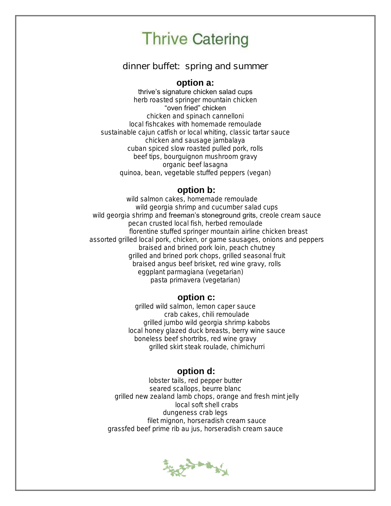### dinner buffet: spring and summer

### **option a:**

thrive's signature chicken salad cups herb roasted springer mountain chicken "oven fried" chicken

chicken and spinach cannelloni local fishcakes with homemade remoulade sustainable cajun catfish or local whiting, classic tartar sauce chicken and sausage jambalaya cuban spiced slow roasted pulled pork, rolls beef tips, bourguignon mushroom gravy organic beef lasagna quinoa, bean, vegetable stuffed peppers (vegan)

#### **option b:**

wild salmon cakes, homemade remoulade wild georgia shrimp and cucumber salad cups wild georgia shrimp and freeman's stoneground grits, creole cream sauce pecan crusted local fish, herbed remoulade florentine stuffed springer mountain airline chicken breast assorted grilled local pork, chicken, or game sausages, onions and peppers braised and brined pork loin, peach chutney grilled and brined pork chops, grilled seasonal fruit braised angus beef brisket, red wine gravy, rolls eggplant parmagiana (vegetarian) pasta primavera (vegetarian)

#### **option c:**

grilled wild salmon, lemon caper sauce crab cakes, chili remoulade grilled jumbo wild georgia shrimp kabobs local honey glazed duck breasts, berry wine sauce boneless beef shortribs, red wine gravy grilled skirt steak roulade, chimichurri

#### **option d:**

lobster tails, red pepper butter seared scallops, beurre blanc grilled new zealand lamb chops, orange and fresh mint jelly local soft shell crabs dungeness crab legs filet mignon, horseradish cream sauce grassfed beef prime rib au jus, horseradish cream sauce

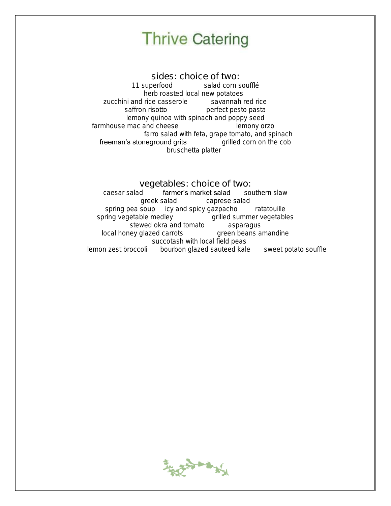sides: choice of two: 11 superfood salad corn soufflé herb roasted local new potatoes zucchini and rice casserole savannah red rice saffron risotto **perfect** pesto pasta lemony quinoa with spinach and poppy seed farmhouse mac and cheese lemony orzo farro salad with feta, grape tomato, and spinach freeman's stoneground grits grilled corn on the cob bruschetta platter

### vegetables: choice of two:

caesar salad **farmer's market salad** southern slaw greek salad caprese salad spring pea soup icy and spicy gazpacho ratatouille spring vegetable medley grilled summer vegetables stewed okra and tomato asparagus local honey glazed carrots **green beans amandine**  succotash with local field peas lemon zest broccoli bourbon glazed sauteed kale sweet potato souffle

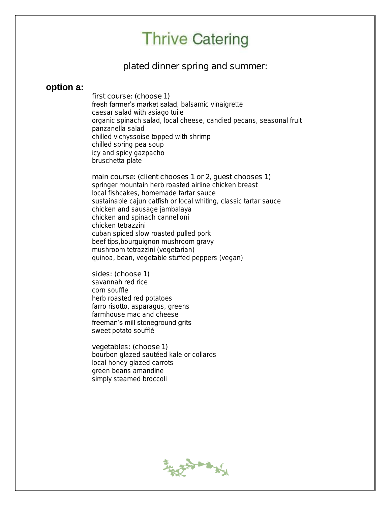plated dinner spring and summer:

### **option a:**

first course: (choose 1) fresh farmer's market salad, balsamic vinaigrette caesar salad with asiago tuile organic spinach salad, local cheese, candied pecans, seasonal fruit panzanella salad chilled vichyssoise topped with shrimp chilled spring pea soup icy and spicy gazpacho bruschetta plate

main course: (client chooses 1 or 2, guest chooses 1) springer mountain herb roasted airline chicken breast local fishcakes, homemade tartar sauce sustainable cajun catfish or local whiting, classic tartar sauce chicken and sausage jambalaya chicken and spinach cannelloni chicken tetrazzini cuban spiced slow roasted pulled pork beef tips,bourguignon mushroom gravy mushroom tetrazzini (vegetarian) quinoa, bean, vegetable stuffed peppers (vegan)

sides: (choose 1) savannah red rice corn souffle herb roasted red potatoes farro risotto, asparagus, greens farmhouse mac and cheese freeman's mill stoneground grits sweet potato soufflé

vegetables: (choose 1) bourbon glazed sautéed kale or collards local honey glazed carrots green beans amandine simply steamed broccoli

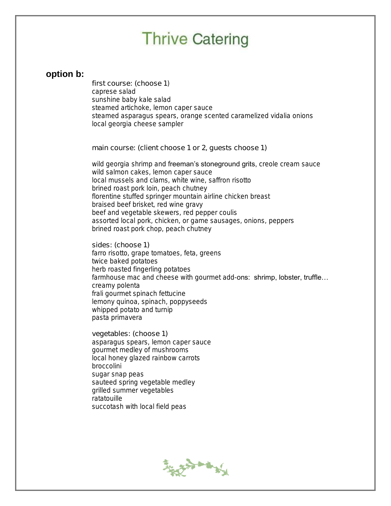### **option b:**

first course: (choose 1) caprese salad sunshine baby kale salad steamed artichoke, lemon caper sauce steamed asparagus spears, orange scented caramelized vidalia onions local georgia cheese sampler

main course: (client choose 1 or 2, guests choose 1)

wild georgia shrimp and freeman's stoneground grits, creole cream sauce wild salmon cakes, lemon caper sauce local mussels and clams, white wine, saffron risotto brined roast pork loin, peach chutney florentine stuffed springer mountain airline chicken breast braised beef brisket, red wine gravy beef and vegetable skewers, red pepper coulis assorted local pork, chicken, or game sausages, onions, peppers brined roast pork chop, peach chutney

sides: (choose 1) farro risotto, grape tomatoes, feta, greens twice baked potatoes herb roasted fingerling potatoes farmhouse mac and cheese with gourmet add-ons: shrimp, lobster, truffle... creamy polenta frali gourmet spinach fettucine lemony quinoa, spinach, poppyseeds whipped potato and turnip pasta primavera

vegetables: (choose 1) asparagus spears, lemon caper sauce gourmet medley of mushrooms local honey glazed rainbow carrots broccolini sugar snap peas sauteed spring vegetable medley grilled summer vegetables ratatouille succotash with local field peas

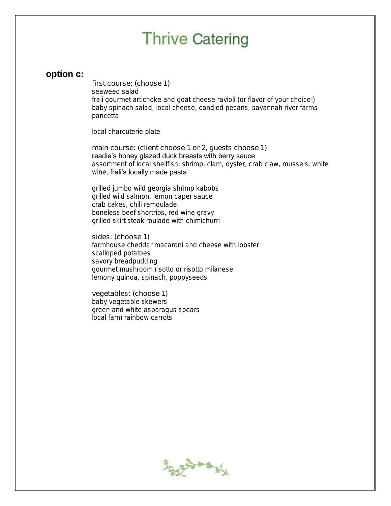### **option c:**

first course: (choose 1) seaweed salad frali gourmet artichoke and goat cheese ravioli (or flavor of your choice!) baby spinach salad, local cheese, candied pecans, savannah river farms pancetta

local charcuterie plate

main course: (client choose 1 or 2, guests choose 1) readie's honey glazed duck breasts with berry sauce assortment of local shellfish: shrimp, clam, oyster, crab claw, mussels, white wine, frali's locally made pasta

grilled jumbo wild georgia shrimp kabobs grilled wild salmon, lemon caper sauce crab cakes, chili remoulade boneless beef shortribs, red wine gravy grilled skirt steak roulade with chimichurri

sides: (choose 1) farmhouse cheddar macaroni and cheese with lobster scalloped potatoes savory breadpudding gourmet mushroom risotto or risotto milanese lemony quinoa, spinach, poppyseeds

vegetables: (choose 1) baby vegetable skewers green and white asparagus spears local farm rainbow carrots